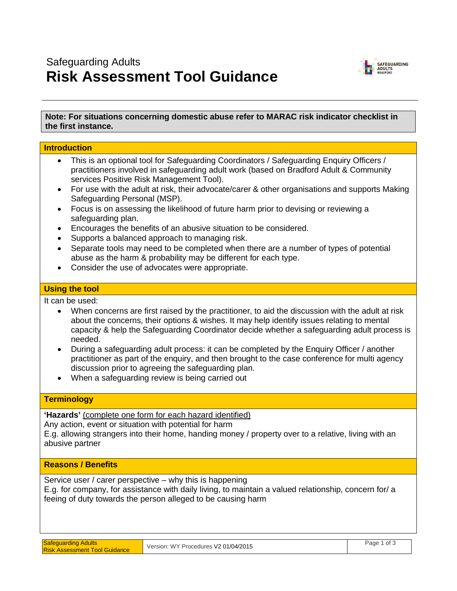# Safeguarding Adults **Risk Assessment Tool Guidance**



# **Note: For situations concerning domestic abuse refer to MARAC risk indicator checklist in the first instance.**

| <b>Introduction</b>                                                                                                                                                                                                                                                                                                                                                                                                                                                                                                                                                                                                                                                                                                                                                                                                                                                                                     |                                      |             |  |
|---------------------------------------------------------------------------------------------------------------------------------------------------------------------------------------------------------------------------------------------------------------------------------------------------------------------------------------------------------------------------------------------------------------------------------------------------------------------------------------------------------------------------------------------------------------------------------------------------------------------------------------------------------------------------------------------------------------------------------------------------------------------------------------------------------------------------------------------------------------------------------------------------------|--------------------------------------|-------------|--|
| This is an optional tool for Safeguarding Coordinators / Safeguarding Enquiry Officers /<br>$\bullet$<br>practitioners involved in safeguarding adult work (based on Bradford Adult & Community<br>services Positive Risk Management Tool).<br>For use with the adult at risk, their advocate/carer & other organisations and supports Making<br>$\bullet$<br>Safeguarding Personal (MSP).<br>Focus is on assessing the likelihood of future harm prior to devising or reviewing a<br>$\bullet$<br>safeguarding plan.<br>Encourages the benefits of an abusive situation to be considered.<br>٠<br>Supports a balanced approach to managing risk.<br>$\bullet$<br>Separate tools may need to be completed when there are a number of types of potential<br>$\bullet$<br>abuse as the harm & probability may be different for each type.<br>Consider the use of advocates were appropriate.<br>$\bullet$ |                                      |             |  |
| <b>Using the tool</b>                                                                                                                                                                                                                                                                                                                                                                                                                                                                                                                                                                                                                                                                                                                                                                                                                                                                                   |                                      |             |  |
| It can be used:<br>When concerns are first raised by the practitioner, to aid the discussion with the adult at risk<br>$\bullet$<br>about the concerns, their options & wishes. It may help identify issues relating to mental<br>capacity & help the Safeguarding Coordinator decide whether a safeguarding adult process is<br>needed.<br>During a safeguarding adult process: it can be completed by the Enquiry Officer / another<br>$\bullet$<br>practitioner as part of the enquiry, and then brought to the case conference for multi agency<br>discussion prior to agreeing the safeguarding plan.<br>When a safeguarding review is being carried out                                                                                                                                                                                                                                           |                                      |             |  |
| <b>Terminology</b>                                                                                                                                                                                                                                                                                                                                                                                                                                                                                                                                                                                                                                                                                                                                                                                                                                                                                      |                                      |             |  |
| 'Hazards' (complete one form for each hazard identified)<br>Any action, event or situation with potential for harm<br>E.g. allowing strangers into their home, handing money / property over to a relative, living with an<br>abusive partner                                                                                                                                                                                                                                                                                                                                                                                                                                                                                                                                                                                                                                                           |                                      |             |  |
| <b>Reasons / Benefits</b>                                                                                                                                                                                                                                                                                                                                                                                                                                                                                                                                                                                                                                                                                                                                                                                                                                                                               |                                      |             |  |
| Service user / carer perspective - why this is happening<br>E.g. for company, for assistance with daily living, to maintain a valued relationship, concern for/ a<br>feeing of duty towards the person alleged to be causing harm                                                                                                                                                                                                                                                                                                                                                                                                                                                                                                                                                                                                                                                                       |                                      |             |  |
| <b>Safeguarding Adults</b><br><b>Risk Assessment Tool Guidance</b>                                                                                                                                                                                                                                                                                                                                                                                                                                                                                                                                                                                                                                                                                                                                                                                                                                      | Version: WY Procedures V2 01/04/2015 | Page 1 of 3 |  |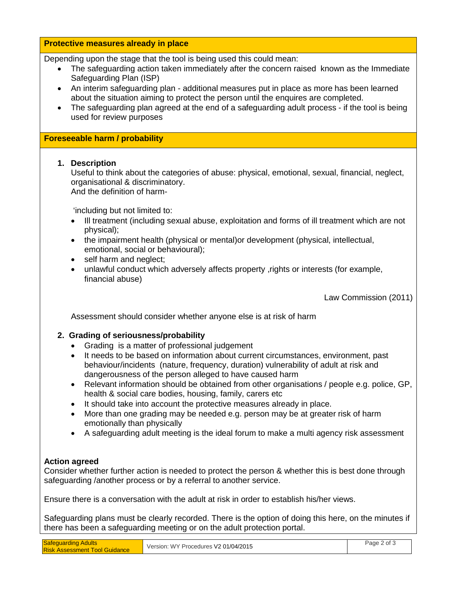## **Protective measures already in place**

Depending upon the stage that the tool is being used this could mean:

- The safeguarding action taken immediately after the concern raised known as the Immediate Safeguarding Plan (ISP)
- An interim safeguarding plan additional measures put in place as more has been learned about the situation aiming to protect the person until the enquires are completed.
- The safeguarding plan agreed at the end of a safeguarding adult process if the tool is being used for review purposes

## **Foreseeable harm / probability**

#### **1. Description**

Useful to think about the categories of abuse: physical, emotional, sexual, financial, neglect, organisational & discriminatory.

And the definition of harm-

'including but not limited to:

- Ill treatment (including sexual abuse, exploitation and forms of ill treatment which are not physical);
- the impairment health (physical or mental) or development (physical, intellectual, emotional, social or behavioural);
- self harm and neglect;
- unlawful conduct which adversely affects property ,rights or interests (for example, financial abuse)

Law Commission (2011)

Assessment should consider whether anyone else is at risk of harm

# **2. Grading of seriousness/probability**

- Grading is a matter of professional judgement
- It needs to be based on information about current circumstances, environment, past behaviour/incidents (nature, frequency, duration) vulnerability of adult at risk and dangerousness of the person alleged to have caused harm
- Relevant information should be obtained from other organisations / people e.g. police, GP, health & social care bodies, housing, family, carers etc
- It should take into account the protective measures already in place.
- More than one grading may be needed e.g. person may be at greater risk of harm emotionally than physically
- A safeguarding adult meeting is the ideal forum to make a multi agency risk assessment

# **Action agreed**

Consider whether further action is needed to protect the person & whether this is best done through safeguarding /another process or by a referral to another service.

Ensure there is a conversation with the adult at risk in order to establish his/her views.

Safeguarding plans must be clearly recorded. There is the option of doing this here, on the minutes if there has been a safeguarding meeting or on the adult protection portal.

| <b>Safeguarding Adults</b>           | Version: WY Procedures V2 01/04/2015 | Page 2 of 3 |
|--------------------------------------|--------------------------------------|-------------|
| <b>Risk Assessment Tool Guidance</b> |                                      |             |